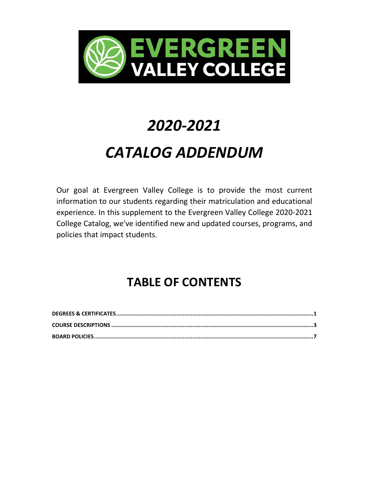

# *2020-2021 CATALOG ADDENDUM*

Our goal at Evergreen Valley College is to provide the most current information to our students regarding their matriculation and educational experience. In this supplement to the Evergreen Valley College 2020-2021 College Catalog, we've identified new and updated courses, programs, and policies that impact students.

# **TABLE OF CONTENTS**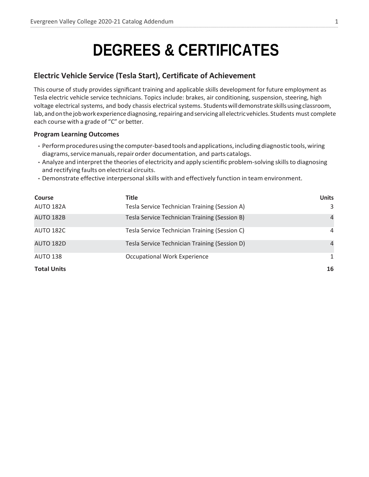# **DEGREES & CERTIFICATES**

**\_\_\_\_\_\_\_\_\_\_\_\_\_\_\_\_\_\_\_\_\_\_\_\_\_\_\_\_\_\_\_\_\_\_\_\_\_\_\_\_\_\_\_\_\_\_\_\_\_\_\_\_\_\_\_\_\_\_\_\_\_\_\_\_\_\_\_\_\_\_\_\_\_\_\_\_\_\_\_\_\_\_\_\_\_\_\_\_\_\_\_\_\_\_\_\_\_\_\_\_\_\_\_\_\_\_\_\_\_\_\_\_\_\_\_\_\_\_\_\_\_\_\_\_\_\_\_\_\_\_\_\_\_\_\_\_\_\_\_\_\_\_\_\_\_\_\_\_\_\_\_\_\_\_\_\_\_\_\_\_\_\_\_\_\_\_\_\_\_\_\_\_\_\_\_\_\_\_\_\_\_\_\_\_\_\_\_\_\_\_\_\_\_\_\_\_\_\_\_\_\_\_\_\_\_\_\_\_\_\_\_\_\_\_\_\_\_\_\_\_\_\_\_\_\_\_\_\_\_\_\_\_\_\_\_\_\_\_\_\_\_\_\_\_\_\_\_\_\_\_\_\_\_\_\_\_\_\_\_\_\_\_\_\_\_\_\_\_\_\_\_\_\_\_\_\_\_\_\_\_\_\_\_\_\_\_\_\_\_\_\_\_\_\_\_\_\_\_\_\_\_\_\_\_\_\_\_\_\_\_\_\_\_\_\_\_\_\_\_\_\_\_\_\_\_\_\_\_\_\_\_\_\_\_\_\_\_\_\_\_\_\_**

### **Electric Vehicle Service (Tesla Start), Certificate of Achievement**

This course of study provides significant training and applicable skills development for future employment as Tesla electric vehicle service technicians. Topics include: brakes, air conditioning, suspension, steering, high voltage electrical systems, and body chassis electrical systems. Studentswilldemonstrateskillsusingclassroom, lab, and on the job work experience diagnosing, repairing and servicing all electric vehicles. Students must complete each course with a grade of "C" or better.

#### **Program Learning Outcomes**

- Perform procedures using the computer-based tools and applications, including diagnostic tools, wiring diagrams, service manuals, repair order documentation, and parts catalogs.
- Analyze and interpret the theories of electricity and apply scientific problem-solving skills to diagnosing and rectifying faults on electrical circuits.
- Demonstrate effective interpersonalskills with and effectively function in team environment.

| <b>Course</b>      | <b>Title</b>                                  | <b>Units</b>   |
|--------------------|-----------------------------------------------|----------------|
| AUTO 182A          | Tesla Service Technician Training (Session A) | 3              |
| <b>AUTO 182B</b>   | Tesla Service Technician Training (Session B) | $\overline{4}$ |
| <b>AUTO 182C</b>   | Tesla Service Technician Training (Session C) | 4              |
| <b>AUTO 182D</b>   | Tesla Service Technician Training (Session D) | $\overline{4}$ |
| <b>AUTO 138</b>    | <b>Occupational Work Experience</b>           | 1              |
| <b>Total Units</b> |                                               | 16             |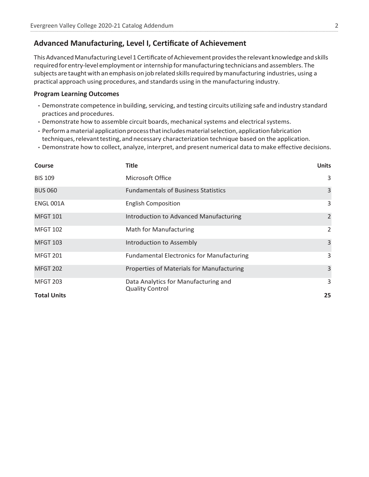### **Advanced Manufacturing, Level I, Certificate of Achievement**

This Advanced Manufacturing Level 1 Certificate of Achievement provides the relevant knowledge and skills requiredforentry-level employmentor internship formanufacturing technicians and assemblers. The subjects are taught with an emphasis on job related skillsrequired bymanufacturing industries, using a practical approach using procedures, and standards using in the manufacturing industry.

**\_\_\_\_\_\_\_\_\_\_\_\_\_\_\_\_\_\_\_\_\_\_\_\_\_\_\_\_\_\_\_\_\_\_\_\_\_\_\_\_\_\_\_\_\_\_\_\_\_\_\_\_\_\_\_\_\_\_\_\_\_\_\_\_\_\_\_\_\_\_\_\_\_\_\_\_\_\_\_\_\_\_\_\_\_\_\_\_\_\_\_\_\_\_\_\_\_\_\_\_\_\_\_\_\_\_\_\_\_\_\_\_\_\_\_\_\_\_\_\_\_\_\_\_\_\_\_\_\_\_\_\_\_\_\_\_\_\_\_\_\_\_\_\_\_\_\_\_\_\_\_\_\_\_\_\_\_\_\_\_\_\_\_\_\_\_\_\_\_\_\_\_\_\_\_\_\_\_\_\_\_\_\_\_\_\_\_\_\_\_\_\_\_\_\_\_\_\_\_\_\_\_\_\_\_\_\_\_\_\_\_\_\_\_\_\_\_\_\_\_\_\_\_\_\_\_\_\_\_\_\_\_\_\_\_\_\_\_\_\_\_\_\_\_\_\_\_\_\_\_\_\_\_\_\_\_\_\_\_\_\_\_\_\_\_\_\_\_\_\_\_\_\_\_\_\_\_\_\_\_\_\_\_\_\_\_\_\_\_\_\_\_\_\_\_\_\_\_\_\_\_\_\_\_\_\_\_\_\_\_\_\_\_\_\_\_\_\_\_\_\_\_\_\_\_\_\_\_\_\_\_\_\_\_\_\_\_\_\_\_\_\_**

#### **Program Learning Outcomes**

- Demonstrate competence in building, servicing, and testing circuits utilizing safe and industry standard practices and procedures.
- Demonstrate how to assemble circuit boards, mechanical systems and electrical systems.
- Perform a material application process that includes material selection, application fabrication techniques, relevant testing, and necessary characterization technique based on the application.
- Demonstrate how to collect, analyze, interpret, and present numerical data to make effective decisions.

| Course             | <b>Title</b>                                                   | <b>Units</b> |
|--------------------|----------------------------------------------------------------|--------------|
| <b>BIS 109</b>     | Microsoft Office                                               | 3            |
| <b>BUS 060</b>     | <b>Fundamentals of Business Statistics</b>                     | 3            |
| <b>ENGL 001A</b>   | <b>English Composition</b>                                     | 3            |
| <b>MFGT 101</b>    | Introduction to Advanced Manufacturing                         | 2            |
| <b>MFGT 102</b>    | <b>Math for Manufacturing</b>                                  | 2            |
| <b>MFGT 103</b>    | Introduction to Assembly                                       | 3            |
| <b>MFGT 201</b>    | <b>Fundamental Electronics for Manufacturing</b>               | 3            |
| <b>MFGT 202</b>    | Properties of Materials for Manufacturing                      | 3            |
| <b>MFGT 203</b>    | Data Analytics for Manufacturing and<br><b>Quality Control</b> | 3            |
| <b>Total Units</b> |                                                                | 25           |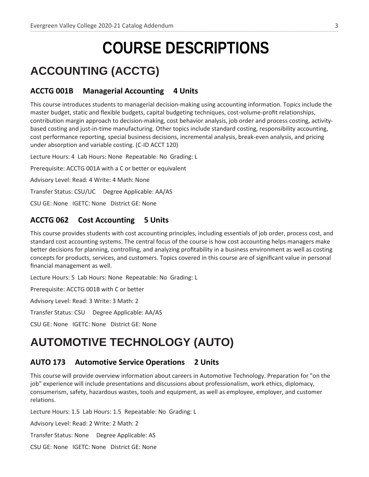# **COURSE DESCRIPTIONS**

**\_\_\_\_\_\_\_\_\_\_\_\_\_\_\_\_\_\_\_\_\_\_\_\_\_\_\_\_\_\_\_\_\_\_\_\_\_\_\_\_\_\_\_\_\_\_\_\_\_\_\_\_\_\_\_\_\_\_\_\_\_\_\_\_\_\_\_\_\_\_\_\_\_\_\_\_\_\_\_\_\_\_\_\_\_\_\_\_\_\_\_\_\_\_\_\_\_\_\_\_\_\_\_\_\_\_\_\_\_\_\_\_\_\_\_\_\_\_\_\_\_\_\_\_\_\_\_\_\_\_\_\_\_\_\_\_\_\_\_\_\_\_\_\_\_\_\_\_\_\_\_\_\_\_\_\_\_\_\_\_\_\_\_\_\_\_\_\_\_\_\_\_\_\_\_\_\_\_\_\_\_\_\_\_\_\_\_\_\_\_\_\_\_\_\_\_\_\_\_\_\_\_\_\_\_\_\_\_\_\_\_\_\_\_\_\_\_\_\_\_\_\_\_\_\_\_\_\_\_\_\_\_\_\_\_\_\_\_\_\_\_\_\_\_\_\_\_\_\_\_\_\_\_\_\_\_\_\_\_\_\_\_\_\_\_\_\_\_\_\_\_\_\_\_\_\_\_\_\_\_\_\_\_\_\_\_\_\_\_\_\_\_\_\_\_\_\_\_\_\_\_\_\_\_\_\_\_\_\_\_\_\_\_\_\_\_\_\_\_\_\_\_\_\_\_\_\_\_\_\_\_\_\_\_\_\_\_\_\_\_\_\_**

# **ACCOUNTING (ACCTG)**

#### **ACCTG 001B Managerial Accounting 4 Units**

This course introduces students to managerial decision-making using accounting information. Topics include the master budget, static and flexible budgets, capital budgeting techniques, cost-volume-profit relationships, contribution margin approach to decision-making, cost behavior analysis, job order and process costing, activitybased costing and just-in-time manufacturing. Other topics include standard costing, responsibility accounting, cost performance reporting, special business decisions, incremental analysis, break-even analysis, and pricing under absorption and variable costing. (C-ID ACCT 120)

Lecture Hours: 4 Lab Hours: None Repeatable: No Grading: L

Prerequisite: ACCTG 001A with a C or better or equivalent

Advisory Level: Read: 4 Write: 4 Math: None

Transfer Status: CSU/UC Degree Applicable: AA/AS

CSU GE: None IGETC: None District GE: None

### **ACCTG 062 Cost Accounting 5 Units**

This course provides students with cost accounting principles, including essentials of job order, process cost, and standard cost accounting systems. The central focus of the course is how cost accounting helps managers make better decisions for planning, controlling, and analyzing profitability in a business environment as well as costing concepts for products, services, and customers. Topics covered in this course are of significant value in personal financial management as well.

Lecture Hours: 5 Lab Hours: None Repeatable: No Grading: L

Prerequisite: ACCTG 001B with C or better

Advisory Level: Read: 3 Write: 3 Math: 2

Transfer Status: CSU Degree Applicable: AA/AS

CSU GE: None IGETC: None District GE: None

### **AUTOMOTIVE TECHNOLOGY (AUTO)**

#### **AUTO 173 Automotive Service Operations 2 Units**

This course will provide overview information about careers in Automotive Technology. Preparation for "on the job" experience will include presentations and discussions about professionalism, work ethics, diplomacy, consumerism, safety, hazardous wastes, tools and equipment, as well as employee, employer, and customer relations.

Lecture Hours: 1.5 Lab Hours: 1.5 Repeatable: No Grading: L

Advisory Level: Read: 2 Write: 2 Math: 2

Transfer Status: None Degree Applicable: AS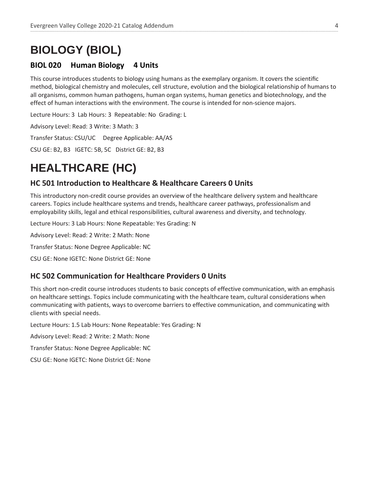## **BIOLOGY (BIOL)**

### **BIOL 020 Human Biology 4 Units**

This course introduces students to biology using humans as the exemplary organism. It covers the scientific method, biological chemistry and molecules, cell structure, evolution and the biological relationship of humans to all organisms, common human pathogens, human organ systems, human genetics and biotechnology, and the effect of human interactions with the environment. The course is intended for non-science majors.

**\_\_\_\_\_\_\_\_\_\_\_\_\_\_\_\_\_\_\_\_\_\_\_\_\_\_\_\_\_\_\_\_\_\_\_\_\_\_\_\_\_\_\_\_\_\_\_\_\_\_\_\_\_\_\_\_\_\_\_\_\_\_\_\_\_\_\_\_\_\_\_\_\_\_\_\_\_\_\_\_\_\_\_\_\_\_\_\_\_\_\_\_\_\_\_\_\_\_\_\_\_\_\_\_\_\_\_\_\_\_\_\_\_\_\_\_\_\_\_\_\_\_\_\_\_\_\_\_\_\_\_\_\_\_\_\_\_\_\_\_\_\_\_\_\_\_\_\_\_\_\_\_\_\_\_\_\_\_\_\_\_\_\_\_\_\_\_\_\_\_\_\_\_\_\_\_\_\_\_\_\_\_\_\_\_\_\_\_\_\_\_\_\_\_\_\_\_\_\_\_\_\_\_\_\_\_\_\_\_\_\_\_\_\_\_\_\_\_\_\_\_\_\_\_\_\_\_\_\_\_\_\_\_\_\_\_\_\_\_\_\_\_\_\_\_\_\_\_\_\_\_\_\_\_\_\_\_\_\_\_\_\_\_\_\_\_\_\_\_\_\_\_\_\_\_\_\_\_\_\_\_\_\_\_\_\_\_\_\_\_\_\_\_\_\_\_\_\_\_\_\_\_\_\_\_\_\_\_\_\_\_\_\_\_\_\_\_\_\_\_\_\_\_\_\_\_\_\_\_\_\_\_\_\_\_\_\_\_\_\_\_\_**

Lecture Hours: 3 Lab Hours: 3 Repeatable: No Grading: L

Advisory Level: Read: 3 Write: 3 Math: 3

Transfer Status: CSU/UC Degree Applicable: AA/AS

CSU GE: B2, B3 IGETC: 5B, 5C District GE: B2, B3

# **HEALTHCARE (HC)**

### **HC 501 Introduction to Healthcare & Healthcare Careers 0 Units**

This introductory non-credit course provides an overview of the healthcare delivery system and healthcare careers. Topics include healthcare systems and trends, healthcare career pathways, professionalism and employability skills, legal and ethical responsibilities, cultural awareness and diversity, and technology.

Lecture Hours: 3 Lab Hours: None Repeatable: Yes Grading: N

Advisory Level: Read: 2 Write: 2 Math: None

Transfer Status: None Degree Applicable: NC

CSU GE: None IGETC: None District GE: None

#### **HC 502 Communication for Healthcare Providers 0 Units**

This short non-credit course introduces students to basic concepts of effective communication, with an emphasis on healthcare settings. Topics include communicating with the healthcare team, cultural considerations when communicating with patients, ways to overcome barriers to effective communication, and communicating with clients with special needs.

Lecture Hours: 1.5 Lab Hours: None Repeatable: Yes Grading: N

Advisory Level: Read: 2 Write: 2 Math: None

Transfer Status: None Degree Applicable: NC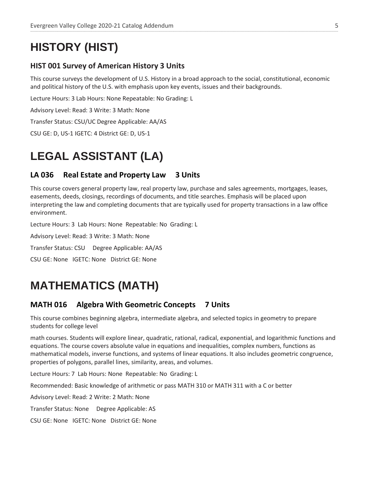# **HISTORY (HIST)**

### **HIST 001 Survey of American History 3 Units**

This course surveys the development of U.S. History in a broad approach to the social, constitutional, economic and political history of the U.S. with emphasis upon key events, issues and their backgrounds.

**\_\_\_\_\_\_\_\_\_\_\_\_\_\_\_\_\_\_\_\_\_\_\_\_\_\_\_\_\_\_\_\_\_\_\_\_\_\_\_\_\_\_\_\_\_\_\_\_\_\_\_\_\_\_\_\_\_\_\_\_\_\_\_\_\_\_\_\_\_\_\_\_\_\_\_\_\_\_\_\_\_\_\_\_\_\_\_\_\_\_\_\_\_\_\_\_\_\_\_\_\_\_\_\_\_\_\_\_\_\_\_\_\_\_\_\_\_\_\_\_\_\_\_\_\_\_\_\_\_\_\_\_\_\_\_\_\_\_\_\_\_\_\_\_\_\_\_\_\_\_\_\_\_\_\_\_\_\_\_\_\_\_\_\_\_\_\_\_\_\_\_\_\_\_\_\_\_\_\_\_\_\_\_\_\_\_\_\_\_\_\_\_\_\_\_\_\_\_\_\_\_\_\_\_\_\_\_\_\_\_\_\_\_\_\_\_\_\_\_\_\_\_\_\_\_\_\_\_\_\_\_\_\_\_\_\_\_\_\_\_\_\_\_\_\_\_\_\_\_\_\_\_\_\_\_\_\_\_\_\_\_\_\_\_\_\_\_\_\_\_\_\_\_\_\_\_\_\_\_\_\_\_\_\_\_\_\_\_\_\_\_\_\_\_\_\_\_\_\_\_\_\_\_\_\_\_\_\_\_\_\_\_\_\_\_\_\_\_\_\_\_\_\_\_\_\_\_\_\_\_\_\_\_\_\_\_\_\_\_\_\_\_**

Lecture Hours: 3 Lab Hours: None Repeatable: No Grading: L

Advisory Level: Read: 3 Write: 3 Math: None

Transfer Status: CSU/UC Degree Applicable: AA/AS

CSU GE: D, US-1 IGETC: 4 District GE: D, US-1

# **LEGAL ASSISTANT (LA)**

### **LA 036 Real Estate and Property Law 3 Units**

This course covers general property law, real property law, purchase and sales agreements, mortgages, leases, easements, deeds, closings, recordings of documents, and title searches. Emphasis will be placed upon interpreting the law and completing documents that are typically used for property transactions in a law office environment.

Lecture Hours: 3 Lab Hours: None Repeatable: No Grading: L

Advisory Level: Read: 3 Write: 3 Math: None

Transfer Status: CSU Degree Applicable: AA/AS

CSU GE: None IGETC: None District GE: None

## **MATHEMATICS (MATH)**

### **MATH 016 Algebra With Geometric Concepts 7 Units**

This course combines beginning algebra, intermediate algebra, and selected topics in geometry to prepare students for college level

math courses. Students will explore linear, quadratic, rational, radical, exponential, and logarithmic functions and equations. The course covers absolute value in equations and inequalities, complex numbers, functions as mathematical models, inverse functions, and systems of linear equations. It also includes geometric congruence, properties of polygons, parallel lines, similarity, areas, and volumes.

Lecture Hours: 7 Lab Hours: None Repeatable: No Grading: L

Recommended: Basic knowledge of arithmetic or pass MATH 310 or MATH 311 with a C or better

Advisory Level: Read: 2 Write: 2 Math: None

Transfer Status: None Degree Applicable: AS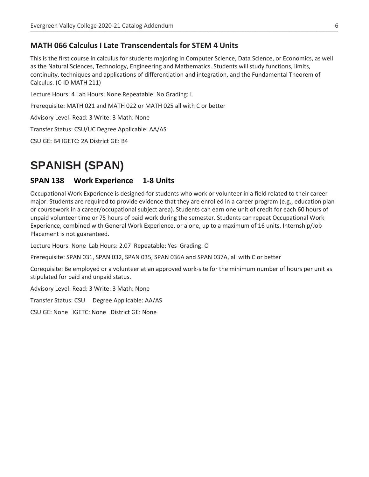### **MATH 066 Calculus I Late Transcendentals for STEM 4 Units**

This is the first course in calculus for students majoring in Computer Science, Data Science, or Economics, as well as the Natural Sciences, Technology, Engineering and Mathematics. Students will study functions, limits, continuity, techniques and applications of differentiation and integration, and the Fundamental Theorem of Calculus. (C-ID MATH 211)

**\_\_\_\_\_\_\_\_\_\_\_\_\_\_\_\_\_\_\_\_\_\_\_\_\_\_\_\_\_\_\_\_\_\_\_\_\_\_\_\_\_\_\_\_\_\_\_\_\_\_\_\_\_\_\_\_\_\_\_\_\_\_\_\_\_\_\_\_\_\_\_\_\_\_\_\_\_\_\_\_\_\_\_\_\_\_\_\_\_\_\_\_\_\_\_\_\_\_\_\_\_\_\_\_\_\_\_\_\_\_\_\_\_\_\_\_\_\_\_\_\_\_\_\_\_\_\_\_\_\_\_\_\_\_\_\_\_\_\_\_\_\_\_\_\_\_\_\_\_\_\_\_\_\_\_\_\_\_\_\_\_\_\_\_\_\_\_\_\_\_\_\_\_\_\_\_\_\_\_\_\_\_\_\_\_\_\_\_\_\_\_\_\_\_\_\_\_\_\_\_\_\_\_\_\_\_\_\_\_\_\_\_\_\_\_\_\_\_\_\_\_\_\_\_\_\_\_\_\_\_\_\_\_\_\_\_\_\_\_\_\_\_\_\_\_\_\_\_\_\_\_\_\_\_\_\_\_\_\_\_\_\_\_\_\_\_\_\_\_\_\_\_\_\_\_\_\_\_\_\_\_\_\_\_\_\_\_\_\_\_\_\_\_\_\_\_\_\_\_\_\_\_\_\_\_\_\_\_\_\_\_\_\_\_\_\_\_\_\_\_\_\_\_\_\_\_\_\_\_\_\_\_\_\_\_\_\_\_\_\_\_\_**

Lecture Hours: 4 Lab Hours: None Repeatable: No Grading: L

Prerequisite: MATH 021 and MATH 022 or MATH 025 all with C or better

Advisory Level: Read: 3 Write: 3 Math: None

Transfer Status: CSU/UC Degree Applicable: AA/AS

CSU GE: B4 IGETC: 2A District GE: B4

# **SPANISH (SPAN)**

#### **SPAN 138 Work Experience 1-8 Units**

Occupational Work Experience is designed for students who work or volunteer in a field related to their career major. Students are required to provide evidence that they are enrolled in a career program (e.g., education plan or coursework in a career/occupational subject area). Students can earn one unit of credit for each 60 hours of unpaid volunteer time or 75 hours of paid work during the semester. Students can repeat Occupational Work Experience, combined with General Work Experience, or alone, up to a maximum of 16 units. Internship/Job Placement is not guaranteed.

Lecture Hours: None Lab Hours: 2.07 Repeatable: Yes Grading: O

Prerequisite: SPAN 031, SPAN 032, SPAN 035, SPAN 036A and SPAN 037A, all with C or better

Corequisite: Be employed or a volunteer at an approved work-site for the minimum number of hours per unit as stipulated for paid and unpaid status.

Advisory Level: Read: 3 Write: 3 Math: None

Transfer Status: CSU Degree Applicable: AA/AS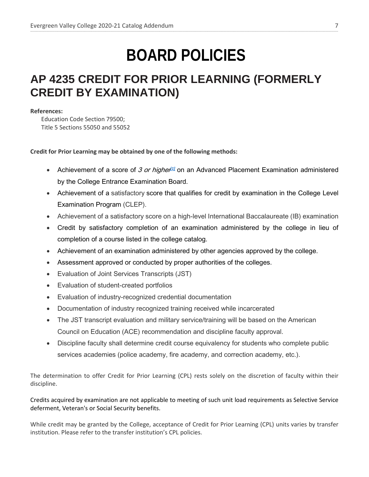# **BOARD POLICIES**

**\_\_\_\_\_\_\_\_\_\_\_\_\_\_\_\_\_\_\_\_\_\_\_\_\_\_\_\_\_\_\_\_\_\_\_\_\_\_\_\_\_\_\_\_\_\_\_\_\_\_\_\_\_\_\_\_\_\_\_\_\_\_\_\_\_\_\_\_\_\_\_\_\_\_\_\_\_\_\_\_\_\_\_\_\_\_\_\_\_\_\_\_\_\_\_\_\_\_\_\_\_\_\_\_\_\_\_\_\_\_\_\_\_\_\_\_\_\_\_\_\_\_\_\_\_\_\_\_\_\_\_\_\_\_\_\_\_\_\_\_\_\_\_\_\_\_\_\_\_\_\_\_\_\_\_\_\_\_\_\_\_\_\_\_\_\_\_\_\_\_\_\_\_\_\_\_\_\_\_\_\_\_\_\_\_\_\_\_\_\_\_\_\_\_\_\_\_\_\_\_\_\_\_\_\_\_\_\_\_\_\_\_\_\_\_\_\_\_\_\_\_\_\_\_\_\_\_\_\_\_\_\_\_\_\_\_\_\_\_\_\_\_\_\_\_\_\_\_\_\_\_\_\_\_\_\_\_\_\_\_\_\_\_\_\_\_\_\_\_\_\_\_\_\_\_\_\_\_\_\_\_\_\_\_\_\_\_\_\_\_\_\_\_\_\_\_\_\_\_\_\_\_\_\_\_\_\_\_\_\_\_\_\_\_\_\_\_\_\_\_\_\_\_\_\_\_\_\_\_\_\_\_\_\_\_\_\_\_\_\_\_\_**

## **AP 4235 CREDIT FOR PRIOR LEARNING (FORMERLY CREDIT BY EXAMINATION)**

#### **References:**

Education Code Section 79500; Title 5 Sections 55050 and 55052

#### **Credit for Prior Learning may be obtained by one of the following methods:**

- Achievement of a score of 3 or higher<sup>[\[1\]](https://go.boarddocs.com/ca/sjeccd/Board.nsf/goto?open&id=A8B2VQ022B2F#_ftn1)</sup> on an Advanced Placement Examination administered by the College Entrance Examination Board.
- Achievement of a satisfactory score that qualifies for credit by examination in the College Level Examination Program (CLEP).
- Achievement of a satisfactory score on a high-level International Baccalaureate (IB) examination
- Credit by satisfactory completion of an examination administered by the college in lieu of completion of a course listed in the college catalog.
- Achievement of an examination administered by other agencies approved by the college.
- Assessment approved or conducted by proper authorities of the colleges.
- Evaluation of Joint Services Transcripts (JST)
- Evaluation of student-created portfolios
- Evaluation of industry-recognized credential documentation
- Documentation of industry recognized training received while incarcerated
- The JST transcript evaluation and military service/training will be based on the American Council on Education (ACE) recommendation and discipline faculty approval.
- Discipline faculty shall determine credit course equivalency for students who complete public services academies (police academy, fire academy, and correction academy, etc.).

The determination to offer Credit for Prior Learning (CPL) rests solely on the discretion of faculty within their discipline.

#### Credits acquired by examination are not applicable to meeting of such unit load requirements as Selective Service deferment, Veteran's or Social Security benefits.

While credit may be granted by the College, acceptance of Credit for Prior Learning (CPL) units varies by transfer institution. Please refer to the transfer institution's CPL policies.